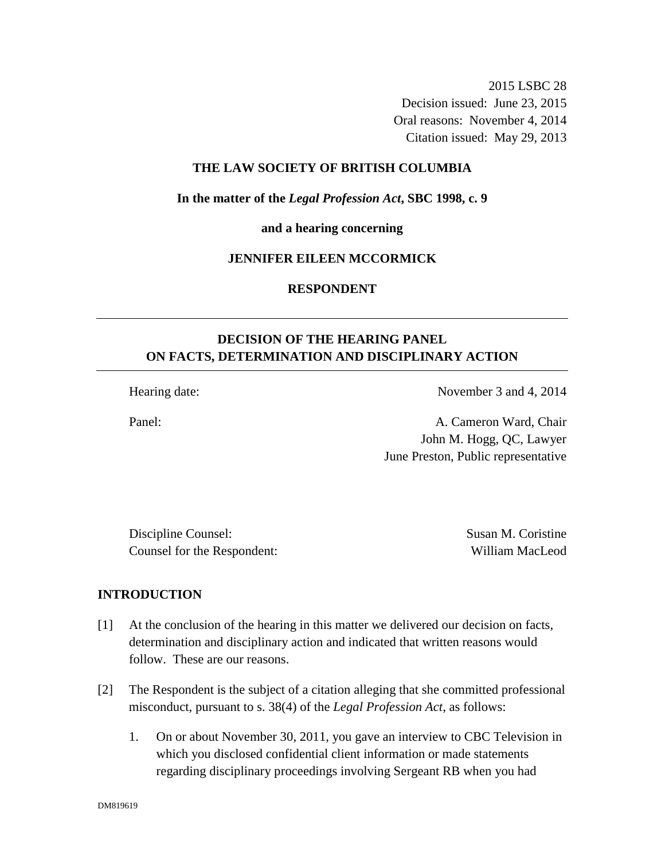2015 LSBC 28 Decision issued: June 23, 2015 Oral reasons: November 4, 2014 Citation issued: May 29, 2013

## **THE LAW SOCIETY OF BRITISH COLUMBIA**

**In the matter of the** *Legal Profession Act***, SBC 1998, c. 9** 

**and a hearing concerning** 

## **JENNIFER EILEEN MCCORMICK**

**RESPONDENT** 

# **DECISION OF THE HEARING PANEL ON FACTS, DETERMINATION AND DISCIPLINARY ACTION**

Hearing date: November 3 and 4, 2014

Panel: A. Cameron Ward, Chair John M. Hogg, QC, Lawyer June Preston, Public representative

Discipline Counsel: Susan M. Coristine Counsel for the Respondent: William MacLeod

#### **INTRODUCTION**

- [1] At the conclusion of the hearing in this matter we delivered our decision on facts, determination and disciplinary action and indicated that written reasons would follow. These are our reasons.
- [2] The Respondent is the subject of a citation alleging that she committed professional misconduct, pursuant to s. 38(4) of the *Legal Profession Act*, as follows:
	- 1. On or about November 30, 2011, you gave an interview to CBC Television in which you disclosed confidential client information or made statements regarding disciplinary proceedings involving Sergeant RB when you had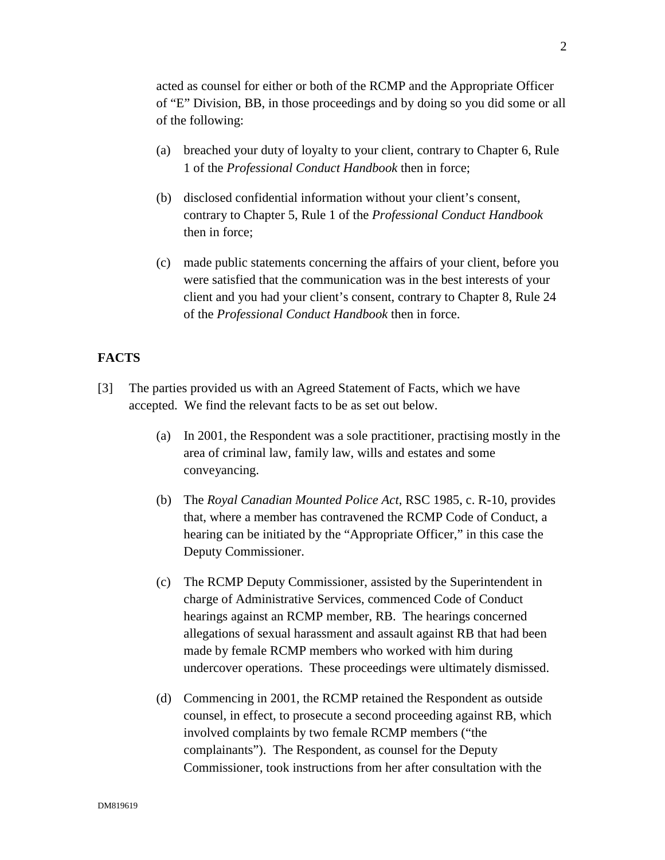2

acted as counsel for either or both of the RCMP and the Appropriate Officer of "E" Division, BB, in those proceedings and by doing so you did some or all of the following:

- (a) breached your duty of loyalty to your client, contrary to Chapter 6, Rule 1 of the *Professional Conduct Handbook* then in force;
- (b) disclosed confidential information without your client's consent, contrary to Chapter 5, Rule 1 of the *Professional Conduct Handbook* then in force;
- (c) made public statements concerning the affairs of your client, before you were satisfied that the communication was in the best interests of your client and you had your client's consent, contrary to Chapter 8, Rule 24 of the *Professional Conduct Handbook* then in force.

# **FACTS**

- [3] The parties provided us with an Agreed Statement of Facts, which we have accepted. We find the relevant facts to be as set out below.
	- (a) In 2001, the Respondent was a sole practitioner, practising mostly in the area of criminal law, family law, wills and estates and some conveyancing.
	- (b) The *Royal Canadian Mounted Police Act*, RSC 1985, c. R-10, provides that, where a member has contravened the RCMP Code of Conduct, a hearing can be initiated by the "Appropriate Officer," in this case the Deputy Commissioner.
	- (c) The RCMP Deputy Commissioner, assisted by the Superintendent in charge of Administrative Services, commenced Code of Conduct hearings against an RCMP member, RB. The hearings concerned allegations of sexual harassment and assault against RB that had been made by female RCMP members who worked with him during undercover operations. These proceedings were ultimately dismissed.
	- (d) Commencing in 2001, the RCMP retained the Respondent as outside counsel, in effect, to prosecute a second proceeding against RB, which involved complaints by two female RCMP members ("the complainants"). The Respondent, as counsel for the Deputy Commissioner, took instructions from her after consultation with the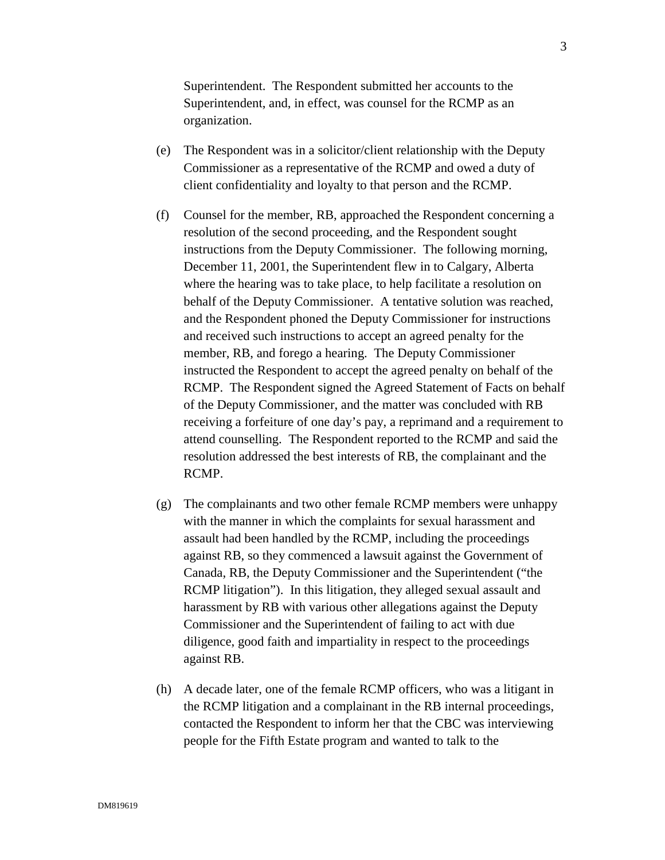Superintendent. The Respondent submitted her accounts to the Superintendent, and, in effect, was counsel for the RCMP as an organization.

- (e) The Respondent was in a solicitor/client relationship with the Deputy Commissioner as a representative of the RCMP and owed a duty of client confidentiality and loyalty to that person and the RCMP.
- (f) Counsel for the member, RB, approached the Respondent concerning a resolution of the second proceeding, and the Respondent sought instructions from the Deputy Commissioner. The following morning, December 11, 2001, the Superintendent flew in to Calgary, Alberta where the hearing was to take place, to help facilitate a resolution on behalf of the Deputy Commissioner. A tentative solution was reached, and the Respondent phoned the Deputy Commissioner for instructions and received such instructions to accept an agreed penalty for the member, RB, and forego a hearing. The Deputy Commissioner instructed the Respondent to accept the agreed penalty on behalf of the RCMP. The Respondent signed the Agreed Statement of Facts on behalf of the Deputy Commissioner, and the matter was concluded with RB receiving a forfeiture of one day's pay, a reprimand and a requirement to attend counselling. The Respondent reported to the RCMP and said the resolution addressed the best interests of RB, the complainant and the RCMP.
- (g) The complainants and two other female RCMP members were unhappy with the manner in which the complaints for sexual harassment and assault had been handled by the RCMP, including the proceedings against RB, so they commenced a lawsuit against the Government of Canada, RB, the Deputy Commissioner and the Superintendent ("the RCMP litigation"). In this litigation, they alleged sexual assault and harassment by RB with various other allegations against the Deputy Commissioner and the Superintendent of failing to act with due diligence, good faith and impartiality in respect to the proceedings against RB.
- (h) A decade later, one of the female RCMP officers, who was a litigant in the RCMP litigation and a complainant in the RB internal proceedings, contacted the Respondent to inform her that the CBC was interviewing people for the Fifth Estate program and wanted to talk to the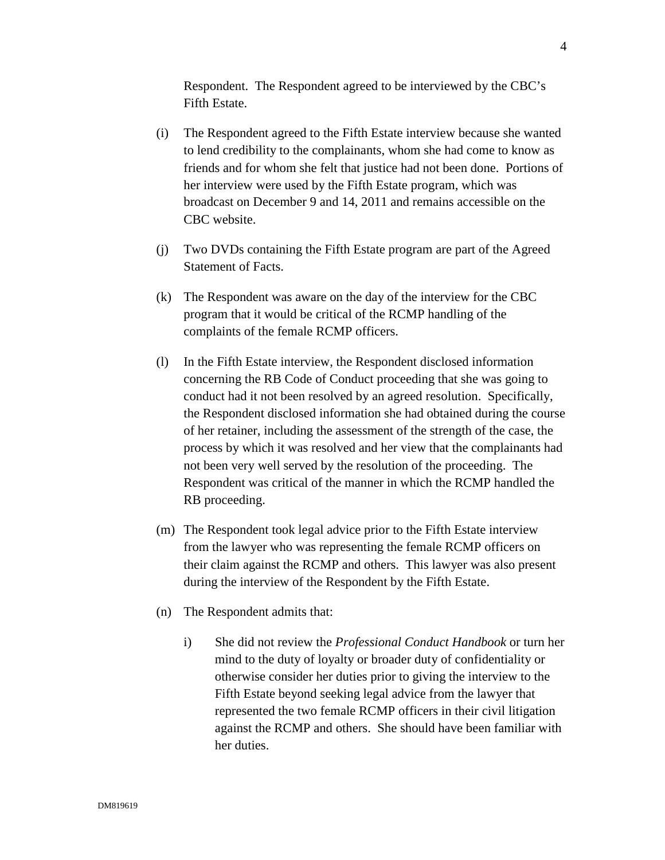Respondent. The Respondent agreed to be interviewed by the CBC's Fifth Estate.

- (i) The Respondent agreed to the Fifth Estate interview because she wanted to lend credibility to the complainants, whom she had come to know as friends and for whom she felt that justice had not been done. Portions of her interview were used by the Fifth Estate program, which was broadcast on December 9 and 14, 2011 and remains accessible on the CBC website.
- (j) Two DVDs containing the Fifth Estate program are part of the Agreed Statement of Facts.
- (k) The Respondent was aware on the day of the interview for the CBC program that it would be critical of the RCMP handling of the complaints of the female RCMP officers.
- (l) In the Fifth Estate interview, the Respondent disclosed information concerning the RB Code of Conduct proceeding that she was going to conduct had it not been resolved by an agreed resolution. Specifically, the Respondent disclosed information she had obtained during the course of her retainer, including the assessment of the strength of the case, the process by which it was resolved and her view that the complainants had not been very well served by the resolution of the proceeding. The Respondent was critical of the manner in which the RCMP handled the RB proceeding.
- (m) The Respondent took legal advice prior to the Fifth Estate interview from the lawyer who was representing the female RCMP officers on their claim against the RCMP and others. This lawyer was also present during the interview of the Respondent by the Fifth Estate.
- (n) The Respondent admits that:
	- i) She did not review the *Professional Conduct Handbook* or turn her mind to the duty of loyalty or broader duty of confidentiality or otherwise consider her duties prior to giving the interview to the Fifth Estate beyond seeking legal advice from the lawyer that represented the two female RCMP officers in their civil litigation against the RCMP and others. She should have been familiar with her duties.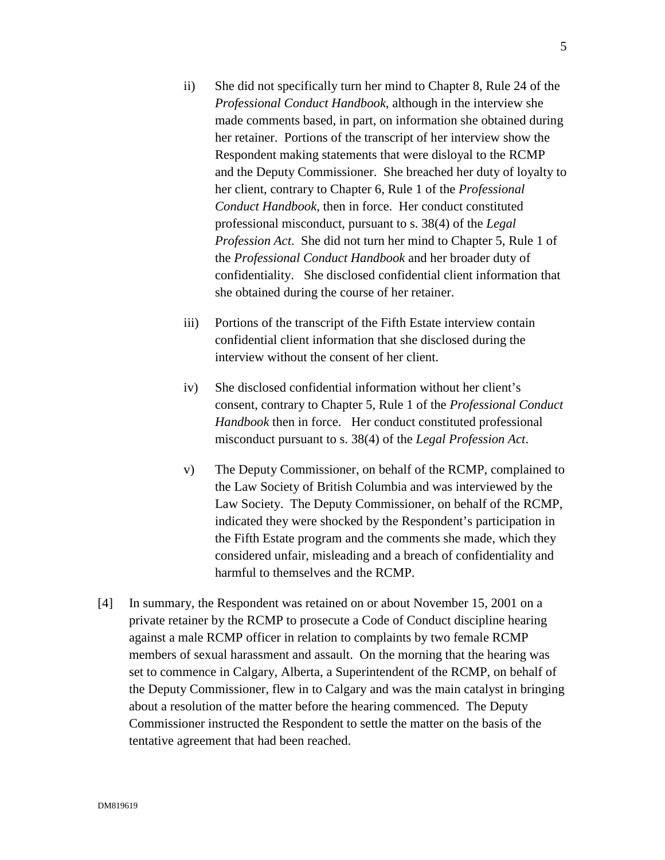- ii) She did not specifically turn her mind to Chapter 8, Rule 24 of the *Professional Conduct Handbook*, although in the interview she made comments based, in part, on information she obtained during her retainer. Portions of the transcript of her interview show the Respondent making statements that were disloyal to the RCMP and the Deputy Commissioner. She breached her duty of loyalty to her client, contrary to Chapter 6, Rule 1 of the *Professional Conduct Handbook*, then in force. Her conduct constituted professional misconduct, pursuant to s. 38(4) of the *Legal Profession Act*. She did not turn her mind to Chapter 5, Rule 1 of the *Professional Conduct Handbook* and her broader duty of confidentiality. She disclosed confidential client information that she obtained during the course of her retainer.
- iii) Portions of the transcript of the Fifth Estate interview contain confidential client information that she disclosed during the interview without the consent of her client.
- iv) She disclosed confidential information without her client's consent, contrary to Chapter 5, Rule 1 of the *Professional Conduct Handbook* then in force. Her conduct constituted professional misconduct pursuant to s. 38(4) of the *Legal Profession Act*.
- v) The Deputy Commissioner, on behalf of the RCMP, complained to the Law Society of British Columbia and was interviewed by the Law Society. The Deputy Commissioner, on behalf of the RCMP, indicated they were shocked by the Respondent's participation in the Fifth Estate program and the comments she made, which they considered unfair, misleading and a breach of confidentiality and harmful to themselves and the RCMP.
- [4] In summary, the Respondent was retained on or about November 15, 2001 on a private retainer by the RCMP to prosecute a Code of Conduct discipline hearing against a male RCMP officer in relation to complaints by two female RCMP members of sexual harassment and assault. On the morning that the hearing was set to commence in Calgary, Alberta, a Superintendent of the RCMP, on behalf of the Deputy Commissioner, flew in to Calgary and was the main catalyst in bringing about a resolution of the matter before the hearing commenced. The Deputy Commissioner instructed the Respondent to settle the matter on the basis of the tentative agreement that had been reached.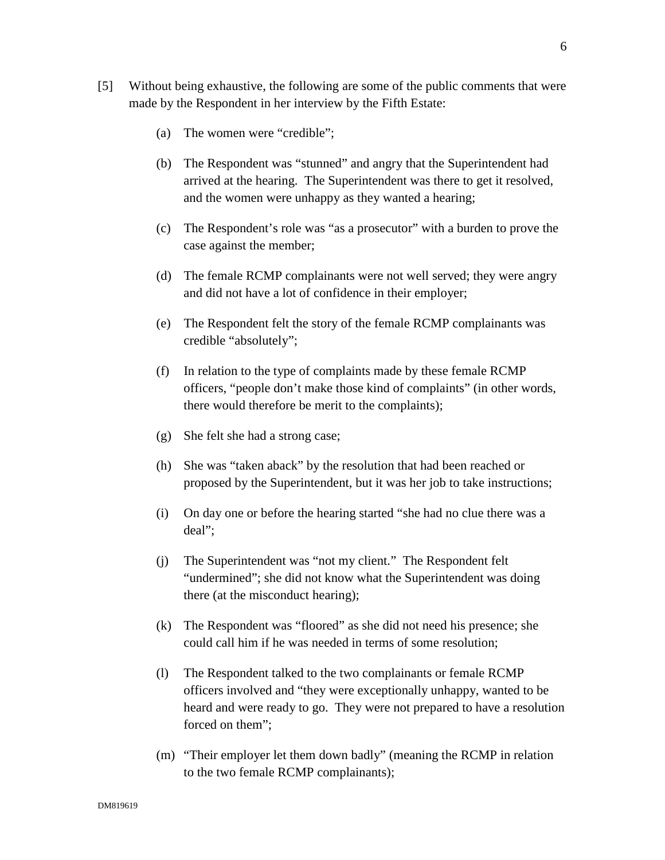- [5] Without being exhaustive, the following are some of the public comments that were made by the Respondent in her interview by the Fifth Estate:
	- (a) The women were "credible";
	- (b) The Respondent was "stunned" and angry that the Superintendent had arrived at the hearing. The Superintendent was there to get it resolved, and the women were unhappy as they wanted a hearing;
	- (c) The Respondent's role was "as a prosecutor" with a burden to prove the case against the member;
	- (d) The female RCMP complainants were not well served; they were angry and did not have a lot of confidence in their employer;
	- (e) The Respondent felt the story of the female RCMP complainants was credible "absolutely";
	- (f) In relation to the type of complaints made by these female RCMP officers, "people don't make those kind of complaints" (in other words, there would therefore be merit to the complaints);
	- (g) She felt she had a strong case;
	- (h) She was "taken aback" by the resolution that had been reached or proposed by the Superintendent, but it was her job to take instructions;
	- (i) On day one or before the hearing started "she had no clue there was a deal";
	- (j) The Superintendent was "not my client." The Respondent felt "undermined"; she did not know what the Superintendent was doing there (at the misconduct hearing);
	- (k) The Respondent was "floored" as she did not need his presence; she could call him if he was needed in terms of some resolution;
	- (l) The Respondent talked to the two complainants or female RCMP officers involved and "they were exceptionally unhappy, wanted to be heard and were ready to go. They were not prepared to have a resolution forced on them":
	- (m) "Their employer let them down badly" (meaning the RCMP in relation to the two female RCMP complainants);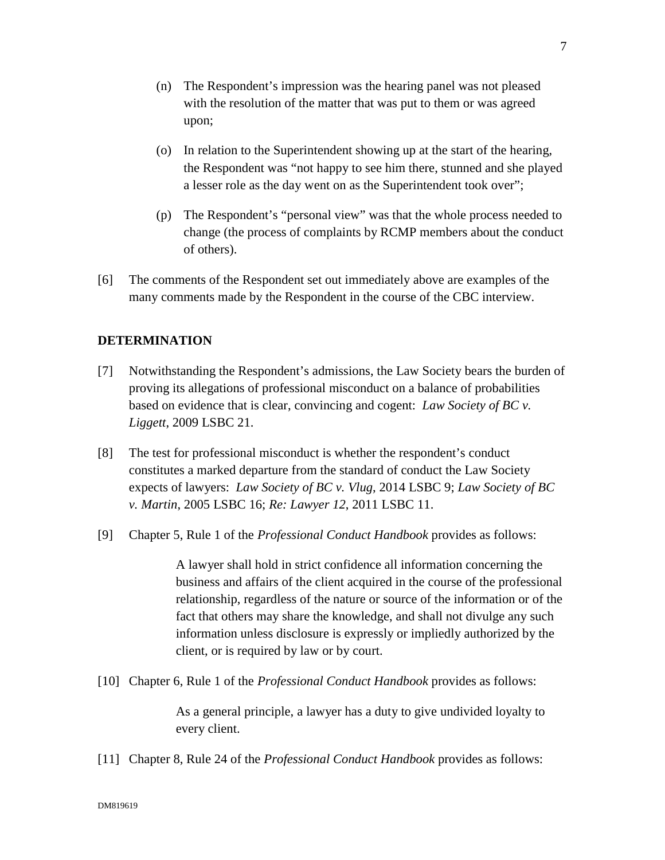- (n) The Respondent's impression was the hearing panel was not pleased with the resolution of the matter that was put to them or was agreed upon;
- (o) In relation to the Superintendent showing up at the start of the hearing, the Respondent was "not happy to see him there, stunned and she played a lesser role as the day went on as the Superintendent took over";
- (p) The Respondent's "personal view" was that the whole process needed to change (the process of complaints by RCMP members about the conduct of others).
- [6] The comments of the Respondent set out immediately above are examples of the many comments made by the Respondent in the course of the CBC interview.

# **DETERMINATION**

- [7] Notwithstanding the Respondent's admissions, the Law Society bears the burden of proving its allegations of professional misconduct on a balance of probabilities based on evidence that is clear, convincing and cogent: *Law Society of BC v. Liggett*, 2009 LSBC 21.
- [8] The test for professional misconduct is whether the respondent's conduct constitutes a marked departure from the standard of conduct the Law Society expects of lawyers: *Law Society of BC v. Vlug*, 2014 LSBC 9; *Law Society of BC v. Martin*, 2005 LSBC 16; *Re: Lawyer 12*, 2011 LSBC 11.
- [9] Chapter 5, Rule 1 of the *Professional Conduct Handbook* provides as follows:

A lawyer shall hold in strict confidence all information concerning the business and affairs of the client acquired in the course of the professional relationship, regardless of the nature or source of the information or of the fact that others may share the knowledge, and shall not divulge any such information unless disclosure is expressly or impliedly authorized by the client, or is required by law or by court.

[10] Chapter 6, Rule 1 of the *Professional Conduct Handbook* provides as follows:

As a general principle, a lawyer has a duty to give undivided loyalty to every client.

[11] Chapter 8, Rule 24 of the *Professional Conduct Handbook* provides as follows: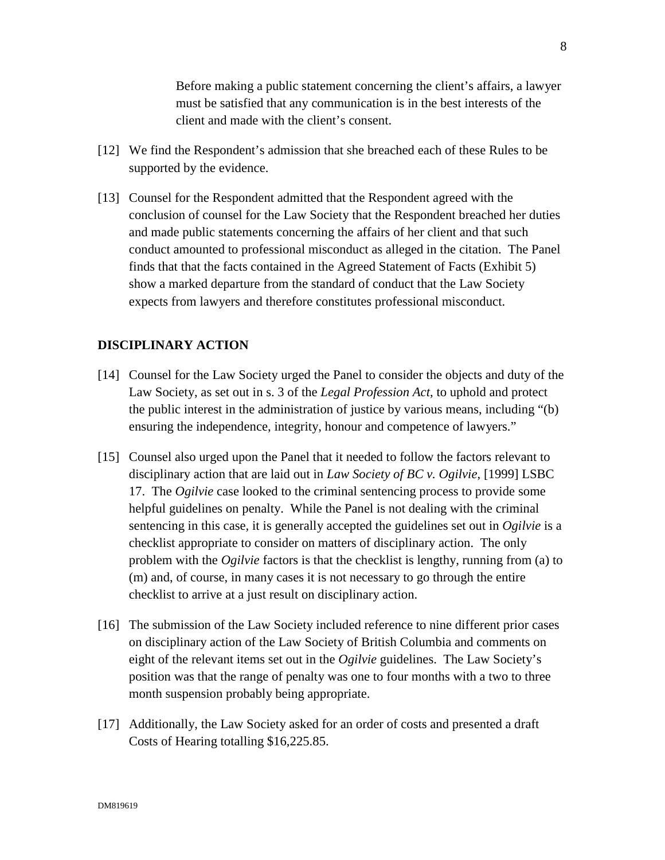Before making a public statement concerning the client's affairs, a lawyer must be satisfied that any communication is in the best interests of the client and made with the client's consent.

- [12] We find the Respondent's admission that she breached each of these Rules to be supported by the evidence.
- [13] Counsel for the Respondent admitted that the Respondent agreed with the conclusion of counsel for the Law Society that the Respondent breached her duties and made public statements concerning the affairs of her client and that such conduct amounted to professional misconduct as alleged in the citation. The Panel finds that that the facts contained in the Agreed Statement of Facts (Exhibit 5) show a marked departure from the standard of conduct that the Law Society expects from lawyers and therefore constitutes professional misconduct.

## **DISCIPLINARY ACTION**

- [14] Counsel for the Law Society urged the Panel to consider the objects and duty of the Law Society, as set out in s. 3 of the *Legal Profession Act*, to uphold and protect the public interest in the administration of justice by various means, including "(b) ensuring the independence, integrity, honour and competence of lawyers."
- [15] Counsel also urged upon the Panel that it needed to follow the factors relevant to disciplinary action that are laid out in *Law Society of BC v. Ogilvie*, [1999] LSBC 17. The *Ogilvie* case looked to the criminal sentencing process to provide some helpful guidelines on penalty. While the Panel is not dealing with the criminal sentencing in this case, it is generally accepted the guidelines set out in *Ogilvie* is a checklist appropriate to consider on matters of disciplinary action. The only problem with the *Ogilvie* factors is that the checklist is lengthy, running from (a) to (m) and, of course, in many cases it is not necessary to go through the entire checklist to arrive at a just result on disciplinary action.
- [16] The submission of the Law Society included reference to nine different prior cases on disciplinary action of the Law Society of British Columbia and comments on eight of the relevant items set out in the *Ogilvie* guidelines. The Law Society's position was that the range of penalty was one to four months with a two to three month suspension probably being appropriate.
- [17] Additionally, the Law Society asked for an order of costs and presented a draft Costs of Hearing totalling \$16,225.85.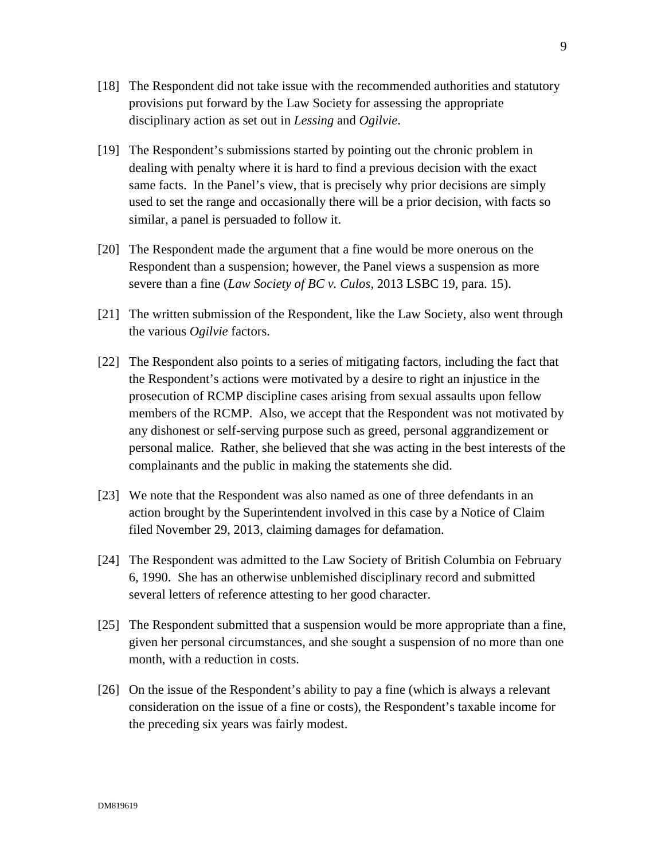- [18] The Respondent did not take issue with the recommended authorities and statutory provisions put forward by the Law Society for assessing the appropriate disciplinary action as set out in *Lessing* and *Ogilvie*.
- [19] The Respondent's submissions started by pointing out the chronic problem in dealing with penalty where it is hard to find a previous decision with the exact same facts. In the Panel's view, that is precisely why prior decisions are simply used to set the range and occasionally there will be a prior decision, with facts so similar, a panel is persuaded to follow it.
- [20] The Respondent made the argument that a fine would be more onerous on the Respondent than a suspension; however, the Panel views a suspension as more severe than a fine (*Law Society of BC v. Culos*, 2013 LSBC 19, para. 15).
- [21] The written submission of the Respondent, like the Law Society, also went through the various *Ogilvie* factors.
- [22] The Respondent also points to a series of mitigating factors, including the fact that the Respondent's actions were motivated by a desire to right an injustice in the prosecution of RCMP discipline cases arising from sexual assaults upon fellow members of the RCMP. Also, we accept that the Respondent was not motivated by any dishonest or self-serving purpose such as greed, personal aggrandizement or personal malice. Rather, she believed that she was acting in the best interests of the complainants and the public in making the statements she did.
- [23] We note that the Respondent was also named as one of three defendants in an action brought by the Superintendent involved in this case by a Notice of Claim filed November 29, 2013, claiming damages for defamation.
- [24] The Respondent was admitted to the Law Society of British Columbia on February 6, 1990. She has an otherwise unblemished disciplinary record and submitted several letters of reference attesting to her good character.
- [25] The Respondent submitted that a suspension would be more appropriate than a fine, given her personal circumstances, and she sought a suspension of no more than one month, with a reduction in costs.
- [26] On the issue of the Respondent's ability to pay a fine (which is always a relevant consideration on the issue of a fine or costs), the Respondent's taxable income for the preceding six years was fairly modest.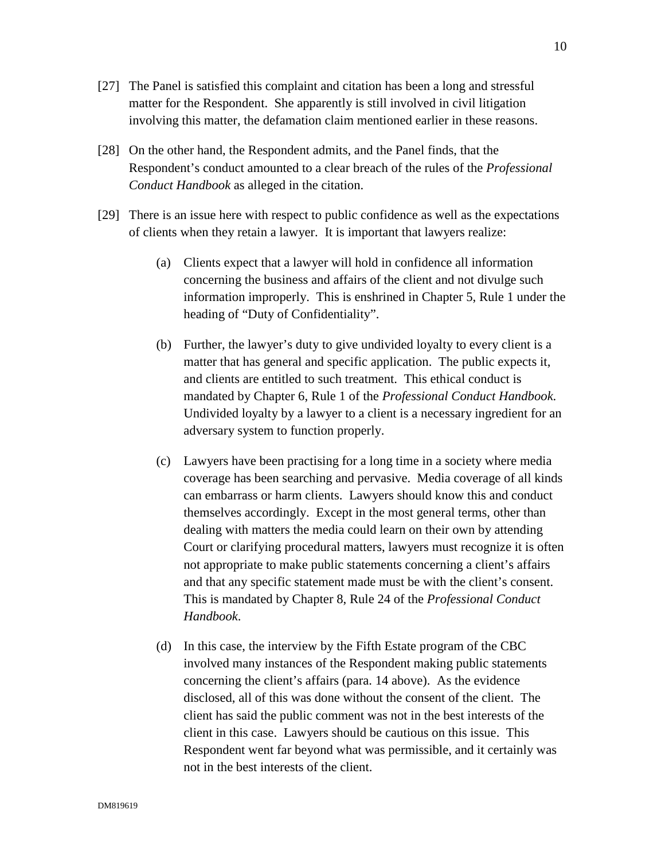- [27] The Panel is satisfied this complaint and citation has been a long and stressful matter for the Respondent. She apparently is still involved in civil litigation involving this matter, the defamation claim mentioned earlier in these reasons.
- [28] On the other hand, the Respondent admits, and the Panel finds, that the Respondent's conduct amounted to a clear breach of the rules of the *Professional Conduct Handbook* as alleged in the citation.
- [29] There is an issue here with respect to public confidence as well as the expectations of clients when they retain a lawyer. It is important that lawyers realize:
	- (a) Clients expect that a lawyer will hold in confidence all information concerning the business and affairs of the client and not divulge such information improperly. This is enshrined in Chapter 5, Rule 1 under the heading of "Duty of Confidentiality".
	- (b) Further, the lawyer's duty to give undivided loyalty to every client is a matter that has general and specific application. The public expects it, and clients are entitled to such treatment. This ethical conduct is mandated by Chapter 6, Rule 1 of the *Professional Conduct Handbook*. Undivided loyalty by a lawyer to a client is a necessary ingredient for an adversary system to function properly.
	- (c) Lawyers have been practising for a long time in a society where media coverage has been searching and pervasive. Media coverage of all kinds can embarrass or harm clients. Lawyers should know this and conduct themselves accordingly. Except in the most general terms, other than dealing with matters the media could learn on their own by attending Court or clarifying procedural matters, lawyers must recognize it is often not appropriate to make public statements concerning a client's affairs and that any specific statement made must be with the client's consent. This is mandated by Chapter 8, Rule 24 of the *Professional Conduct Handbook*.
	- (d) In this case, the interview by the Fifth Estate program of the CBC involved many instances of the Respondent making public statements concerning the client's affairs (para. 14 above). As the evidence disclosed, all of this was done without the consent of the client. The client has said the public comment was not in the best interests of the client in this case. Lawyers should be cautious on this issue. This Respondent went far beyond what was permissible, and it certainly was not in the best interests of the client.